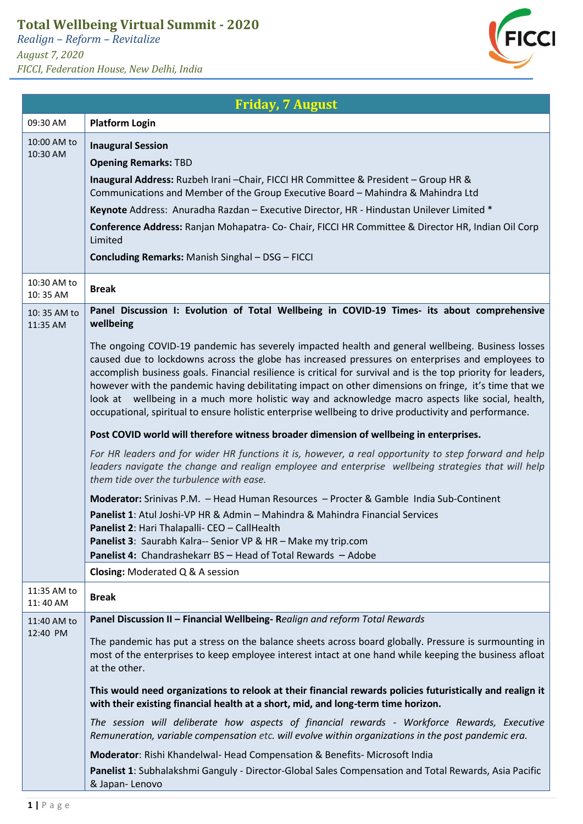## **Total Wellbeing Virtual Summit - 2020**

*Realign – Reform – Revitalize August 7, 2020 FICCI, Federation House, New Delhi, India*



## **Friday, 7 August** 09:30 AM **Platform Login** 10:00 AM to 10:30 AM **Inaugural Session Opening Remarks:** TBD **Inaugural Address:** Ruzbeh Irani –Chair, FICCI HR Committee & President – Group HR & Communications and Member of the Group Executive Board – Mahindra & Mahindra Ltd **Keynote** Address: Anuradha Razdan – Executive Director, HR - Hindustan Unilever Limited \* **Conference Address:** Ranjan Mohapatra- Co- Chair, FICCI HR Committee & Director HR, Indian Oil Corp Limited **Concluding Remarks:** Manish Singhal – DSG – FICCI 10:30 AM to 10: 35 AM **Break** 10: 35 AM to 11:35 AM **Panel Discussion I: Evolution of Total Wellbeing in COVID-19 Times- its about comprehensive wellbeing** The ongoing COVID-19 pandemic has severely impacted health and general wellbeing. Business losses caused due to lockdowns across the globe has increased pressures on enterprises and employees to accomplish business goals. Financial resilience is critical for survival and is the top priority for leaders, however with the pandemic having debilitating impact on other dimensions on fringe, it's time that we look at wellbeing in a much more holistic way and acknowledge macro aspects like social, health, occupational, spiritual to ensure holistic enterprise wellbeing to drive productivity and performance. **Post COVID world will therefore witness broader dimension of wellbeing in enterprises.** *For HR leaders and for wider HR functions it is, however, a real opportunity to step forward and help leaders navigate the change and realign employee and enterprise wellbeing strategies that will help them tide over the turbulence with ease.* **Moderator:** Srinivas P.M. – Head Human Resources – Procter & Gamble India Sub-Continent **Panelist 1**: Atul Joshi-VP HR & Admin – Mahindra & Mahindra Financial Services **Panelist 2**: Hari Thalapalli- CEO – CallHealth **Panelist 3**: Saurabh Kalra-- Senior VP & HR – Make my trip.com **Panelist 4:** Chandrashekarr BS – Head of Total Rewards – Adobe **Closing:** Moderated Q & A session 11:35 AM to  $11:35$  AM **Break** 11:40 AM to 12:40 PM **Panel Discussion II – Financial Wellbeing- R***ealign and reform Total Rewards* The pandemic has put a stress on the balance sheets across board globally. Pressure is surmounting in most of the enterprises to keep employee interest intact at one hand while keeping the business afloat at the other. **This would need organizations to relook at their financial rewards policies futuristically and realign it with their existing financial health at a short, mid, and long-term time horizon.**  *The session will deliberate how aspects of financial rewards - Workforce Rewards, Executive Remuneration, variable compensation etc. will evolve within organizations in the post pandemic era.* **Moderator**: Rishi Khandelwal- Head Compensation & Benefits- Microsoft India **Panelist 1**: Subhalakshmi Ganguly - Director-Global Sales Compensation and Total Rewards, Asia Pacific & Japan- Lenovo